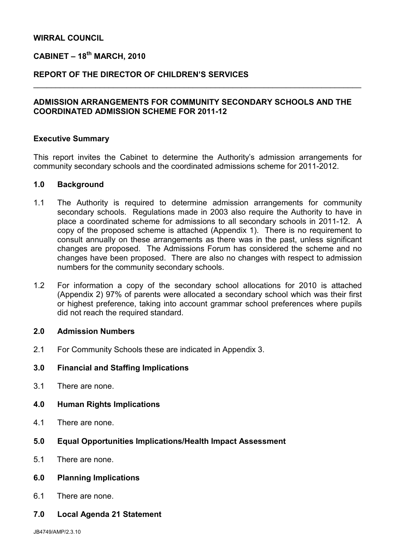#### WIRRAL COUNCIL

# $CABINET - 18<sup>th</sup> MARCH, 2010$

### REPORT OF THE DIRECTOR OF CHILDREN'S SERVICES

### ADMISSION ARRANGEMENTS FOR COMMUNITY SECONDARY SCHOOLS AND THE COORDINATED ADMISSION SCHEME FOR 2011-12

\_\_\_\_\_\_\_\_\_\_\_\_\_\_\_\_\_\_\_\_\_\_\_\_\_\_\_\_\_\_\_\_\_\_\_\_\_\_\_\_\_\_\_\_\_\_\_\_\_\_\_\_\_\_\_\_\_\_\_\_\_\_\_\_\_\_\_\_\_\_\_\_\_\_

#### Executive Summary

This report invites the Cabinet to determine the Authority's admission arrangements for community secondary schools and the coordinated admissions scheme for 2011-2012.

#### 1.0 Background

- 1.1 The Authority is required to determine admission arrangements for community secondary schools. Regulations made in 2003 also require the Authority to have in place a coordinated scheme for admissions to all secondary schools in 2011-12. A copy of the proposed scheme is attached (Appendix 1). There is no requirement to consult annually on these arrangements as there was in the past, unless significant changes are proposed. The Admissions Forum has considered the scheme and no changes have been proposed. There are also no changes with respect to admission numbers for the community secondary schools.
- 1.2 For information a copy of the secondary school allocations for 2010 is attached (Appendix 2) 97% of parents were allocated a secondary school which was their first or highest preference, taking into account grammar school preferences where pupils did not reach the required standard.

#### 2.0 Admission Numbers

2.1 For Community Schools these are indicated in Appendix 3.

### 3.0 Financial and Staffing Implications

3.1 There are none.

### 4.0 Human Rights Implications

- 4.1 There are none.
- 5.0 Equal Opportunities Implications/Health Impact Assessment
- 5.1 There are none.

### 6.0 Planning Implications

- 6.1 There are none.
- 7.0 Local Agenda 21 Statement